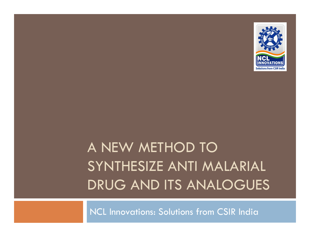

## A NEW METHOD TO SYNTHESIZE ANTI MALARIAL DRUG AND ITS ANALOGUES

NCL Innovations: Solutions from CSIR India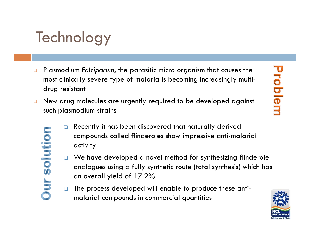# **Technology**

**ur solution** 

- $\Box$  Plasmodium *Falciparum*, the parasitic micro organism that causes the most clinically severe type of malaria is becoming increasingly multidrug resistant
- $\Box$  New drug molecules are urgently required to be developed against such plasmodium strains
	- $\Box$  Recently it has been discovered that naturally derived compounds called flinderoles show impressive anti-malarial activity
	- □ We have developed a novel method for synthesizing flinderole anal ogues using a fully synthetic route (total synthesis) which has an overall yield of 17.2%
	- $\Box$  The process developed will enable to produce these antimalarial compounds in commercial quantities

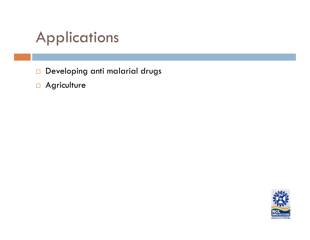## Applications

 $\Box$ Developing anti malarial drugs

**n** Agriculture

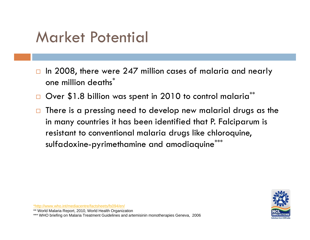#### Market Potential

- $\Box$  $\Box$  In 2008, there were 247 million cases of malaria and nearly one million deaths $\degree$
- $\Box$ Over \$1.8 billion was spent in 2010 to control malaria\*\*
- $\Box$  There is a pressing need to develop new malarial drugs as the in many countries it has been identified that P. Falciparum is resistant to conventional malaria drugs like chloroquine, sulfadoxine-pyrimethamine and amodiaquine<sup>\*</sup>



\*http://www.who.int/mediacentre/factsheets/fs094/en/

\*\* World Malaria Report, 2010, World Health Organization

\*\*\* WHO briefing on Malaria Treatment Guidelines and artemisinin monotherapies Geneva, 2006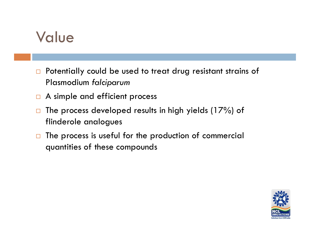#### Value

- $\Box$ Potentially could be used to treat drug resistant strains of Plasmodium *falciparum*
- $\Box$  A simple and efficient process
- $\Box$  The process developed results in high yields (17%) of flinderole analogues
- $\Box$  The process is useful for the production of commercial quantities of these compounds

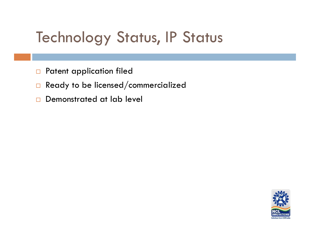## Technology Status, IP Status

- $\Box$ Patent application filed
- $\Box$ Ready to be licensed/commercialized
- $\Box$ Demonstrated at lab level

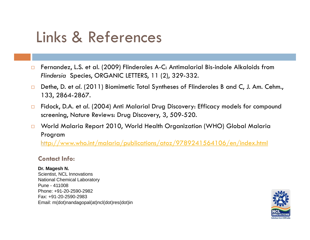## Links & References

- $\Box$  Fernandez, L.S. et al. (2009) Flinderoles A-C: Antimalarial Bis-indole Alkaloids from *Flindersia* Species, ORGANIC LETTERS, 1 1 (2), 329-332.
- $\Box$  Dethe, D. et *al*. (2011) Biomimetic Total Syntheses of Flinderoles B and C, J. Am. Cehm., 133, 2864-2867.
- $\Box$ □ Fidock, D.A. et al. (2004) Anti Malarial Drug Discovery: Efficacy models for compound screening, Nature Reviews: Drug Discovery, 3, 509-520.
- $\Box$  World Malaria Report 2010, World Health Organization (WHO) Global Malaria Program

http://www.who.int/malaria/publications/atoz/9789241564106/en/index.html

#### **Contact Info:**

#### **Dr. Magesh N.**

Scientist, NCL Innovations National Chemical Laboratory Pune - 411008Phone: +91-20-2590-2982Fax: +91-20-2590-2983 Email: m(dot)nandagopal(at)ncl(dot)res(dot)in